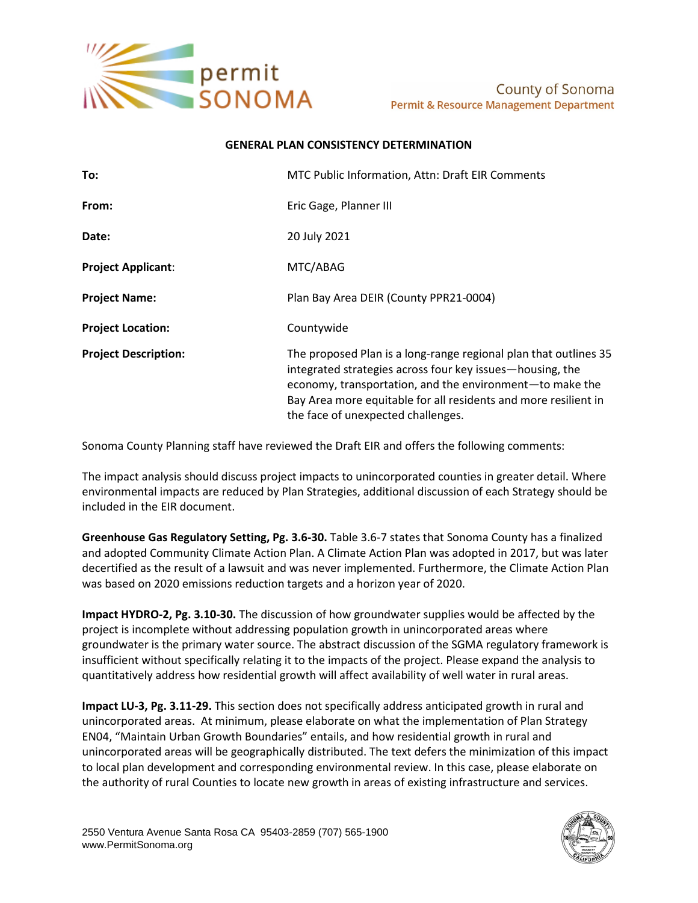

## **GENERAL PLAN CONSISTENCY DETERMINATION**

| To:                         | MTC Public Information, Attn: Draft EIR Comments                                                                                                                                                                                                                                                   |
|-----------------------------|----------------------------------------------------------------------------------------------------------------------------------------------------------------------------------------------------------------------------------------------------------------------------------------------------|
| From:                       | Eric Gage, Planner III                                                                                                                                                                                                                                                                             |
| Date:                       | 20 July 2021                                                                                                                                                                                                                                                                                       |
| <b>Project Applicant:</b>   | MTC/ABAG                                                                                                                                                                                                                                                                                           |
| <b>Project Name:</b>        | Plan Bay Area DEIR (County PPR21-0004)                                                                                                                                                                                                                                                             |
| <b>Project Location:</b>    | Countywide                                                                                                                                                                                                                                                                                         |
| <b>Project Description:</b> | The proposed Plan is a long-range regional plan that outlines 35<br>integrated strategies across four key issues—housing, the<br>economy, transportation, and the environment-to make the<br>Bay Area more equitable for all residents and more resilient in<br>the face of unexpected challenges. |

Sonoma County Planning staff have reviewed the Draft EIR and offers the following comments:

The impact analysis should discuss project impacts to unincorporated counties in greater detail. Where environmental impacts are reduced by Plan Strategies, additional discussion of each Strategy should be included in the EIR document.

**Greenhouse Gas Regulatory Setting, Pg. 3.6-30.** Table 3.6-7 states that Sonoma County has a finalized and adopted Community Climate Action Plan. A Climate Action Plan was adopted in 2017, but was later decertified as the result of a lawsuit and was never implemented. Furthermore, the Climate Action Plan was based on 2020 emissions reduction targets and a horizon year of 2020.

**Impact HYDRO-2, Pg. 3.10-30.** The discussion of how groundwater supplies would be affected by the project is incomplete without addressing population growth in unincorporated areas where groundwater is the primary water source. The abstract discussion of the SGMA regulatory framework is insufficient without specifically relating it to the impacts of the project. Please expand the analysis to quantitatively address how residential growth will affect availability of well water in rural areas.

**Impact LU-3, Pg. 3.11-29.** This section does not specifically address anticipated growth in rural and unincorporated areas. At minimum, please elaborate on what the implementation of Plan Strategy EN04, "Maintain Urban Growth Boundaries" entails, and how residential growth in rural and unincorporated areas will be geographically distributed. The text defers the minimization of this impact to local plan development and corresponding environmental review. In this case, please elaborate on the authority of rural Counties to locate new growth in areas of existing infrastructure and services.

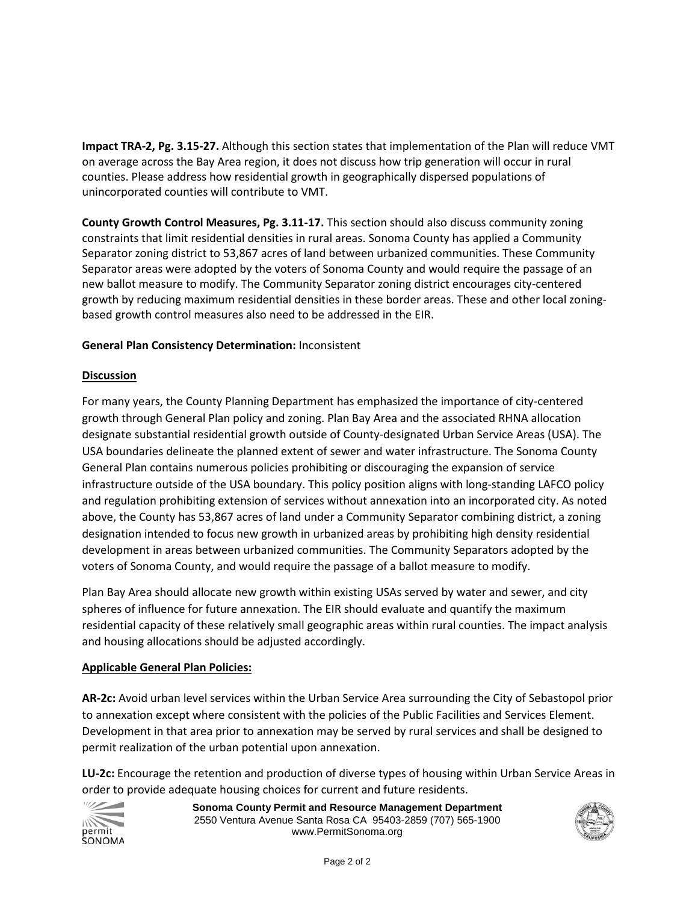**Impact TRA-2, Pg. 3.15-27.** Although this section states that implementation of the Plan will reduce VMT on average across the Bay Area region, it does not discuss how trip generation will occur in rural counties. Please address how residential growth in geographically dispersed populations of unincorporated counties will contribute to VMT.

**County Growth Control Measures, Pg. 3.11-17.** This section should also discuss community zoning constraints that limit residential densities in rural areas. Sonoma County has applied a Community Separator zoning district to 53,867 acres of land between urbanized communities. These Community Separator areas were adopted by the voters of Sonoma County and would require the passage of an new ballot measure to modify. The Community Separator zoning district encourages city-centered growth by reducing maximum residential densities in these border areas. These and other local zoningbased growth control measures also need to be addressed in the EIR.

## **General Plan Consistency Determination:** Inconsistent

## **Discussion**

For many years, the County Planning Department has emphasized the importance of city-centered growth through General Plan policy and zoning. Plan Bay Area and the associated RHNA allocation designate substantial residential growth outside of County-designated Urban Service Areas (USA). The USA boundaries delineate the planned extent of sewer and water infrastructure. The Sonoma County General Plan contains numerous policies prohibiting or discouraging the expansion of service infrastructure outside of the USA boundary. This policy position aligns with long-standing LAFCO policy and regulation prohibiting extension of services without annexation into an incorporated city. As noted above, the County has 53,867 acres of land under a Community Separator combining district, a zoning designation intended to focus new growth in urbanized areas by prohibiting high density residential development in areas between urbanized communities. The Community Separators adopted by the voters of Sonoma County, and would require the passage of a ballot measure to modify.

Plan Bay Area should allocate new growth within existing USAs served by water and sewer, and city spheres of influence for future annexation. The EIR should evaluate and quantify the maximum residential capacity of these relatively small geographic areas within rural counties. The impact analysis and housing allocations should be adjusted accordingly.

## **Applicable General Plan Policies:**

**AR-2c:** Avoid urban level services within the Urban Service Area surrounding the City of Sebastopol prior to annexation except where consistent with the policies of the Public Facilities and Services Element. Development in that area prior to annexation may be served by rural services and shall be designed to permit realization of the urban potential upon annexation.

**LU-2c:** Encourage the retention and production of diverse types of housing within Urban Service Areas in order to provide adequate housing choices for current and future residents.



**Sonoma County Permit and Resource Management Department** 2550 Ventura Avenue Santa Rosa CA 95403-2859 (707) 565-1900 www.PermitSonoma.org

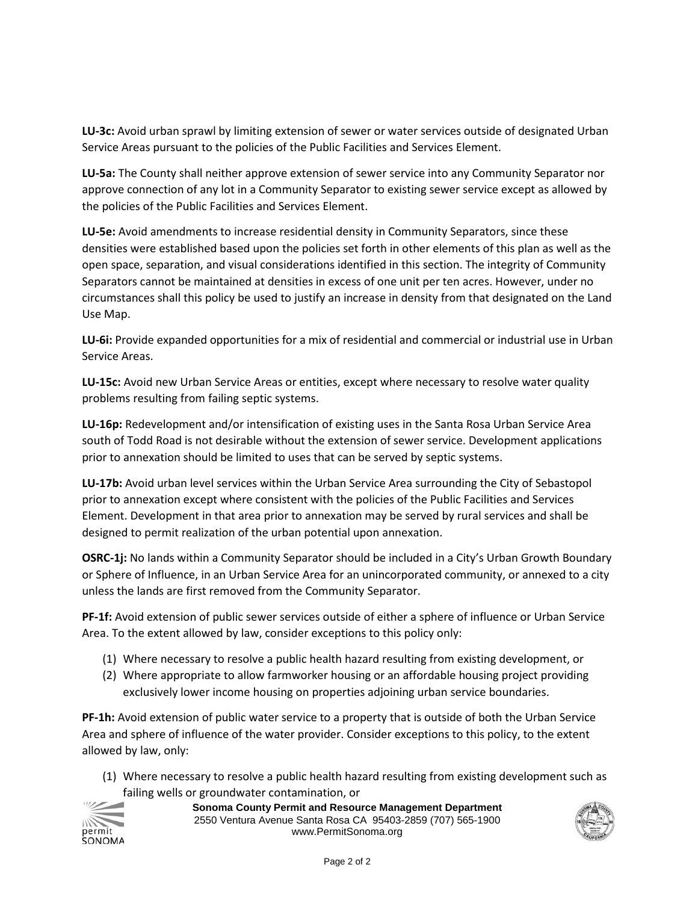**LU-3c:** Avoid urban sprawl by limiting extension of sewer or water services outside of designated Urban Service Areas pursuant to the policies of the Public Facilities and Services Element.

**LU-5a:** The County shall neither approve extension of sewer service into any Community Separator nor approve connection of any lot in a Community Separator to existing sewer service except as allowed by the policies of the Public Facilities and Services Element.

**LU-5e:** Avoid amendments to increase residential density in Community Separators, since these densities were established based upon the policies set forth in other elements of this plan as well as the open space, separation, and visual considerations identified in this section. The integrity of Community Separators cannot be maintained at densities in excess of one unit per ten acres. However, under no circumstances shall this policy be used to justify an increase in density from that designated on the Land Use Map.

**LU-6i:** Provide expanded opportunities for a mix of residential and commercial or industrial use in Urban Service Areas.

**LU-15c:** Avoid new Urban Service Areas or entities, except where necessary to resolve water quality problems resulting from failing septic systems.

**LU-16p:** Redevelopment and/or intensification of existing uses in the Santa Rosa Urban Service Area south of Todd Road is not desirable without the extension of sewer service. Development applications prior to annexation should be limited to uses that can be served by septic systems.

**LU-17b:** Avoid urban level services within the Urban Service Area surrounding the City of Sebastopol prior to annexation except where consistent with the policies of the Public Facilities and Services Element. Development in that area prior to annexation may be served by rural services and shall be designed to permit realization of the urban potential upon annexation.

**OSRC-1j:** No lands within a Community Separator should be included in a City's Urban Growth Boundary or Sphere of Influence, in an Urban Service Area for an unincorporated community, or annexed to a city unless the lands are first removed from the Community Separator.

**PF-1f:** Avoid extension of public sewer services outside of either a sphere of influence or Urban Service Area. To the extent allowed by law, consider exceptions to this policy only:

- (1) Where necessary to resolve a public health hazard resulting from existing development, or
- (2) Where appropriate to allow farmworker housing or an affordable housing project providing exclusively lower income housing on properties adjoining urban service boundaries.

**PF-1h:** Avoid extension of public water service to a property that is outside of both the Urban Service Area and sphere of influence of the water provider. Consider exceptions to this policy, to the extent allowed by law, only:

(1) Where necessary to resolve a public health hazard resulting from existing development such as failing wells or groundwater contamination, or



**Sonoma County Permit and Resource Management Department** 2550 Ventura Avenue Santa Rosa CA 95403-2859 (707) 565-1900 www.PermitSonoma.org